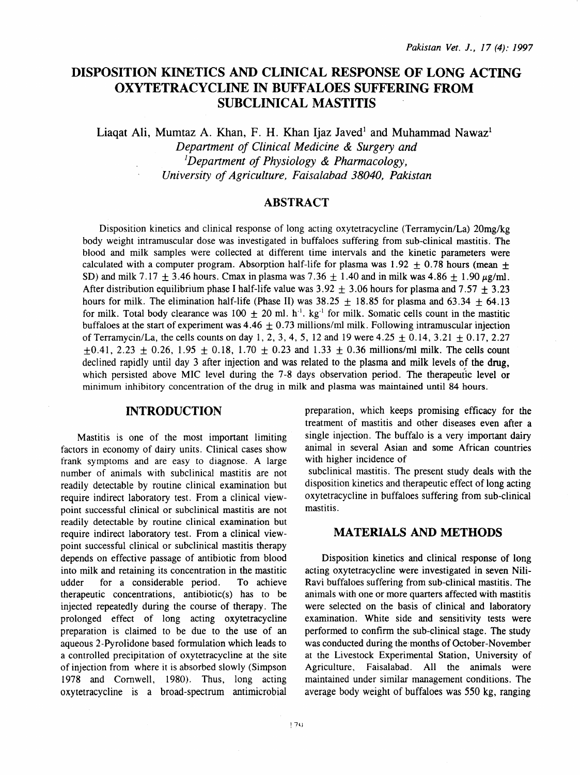# DISPOSITION KINETICS AND CLINICAL RESPONSE OF LONG ACTING OXYTETRACYCLINE IN BUFFALOES SUFFERING FROM SUBCLINICAL MASTITIS

Liagat Ali, Mumtaz A. Khan, F. H. Khan Ijaz Javed<sup>1</sup> and Muhammad Nawaz<sup>1</sup>

*Department of Clinical Medicine* & *Surgery and 1 Department of Physiology* & *Pharmacology, University of Agriculture, Faisalabad 38040, Pakistan* 

### ABSTRACT

Disposition kinetics and clinical response of long acting oxytetracycline (Terramycin/La) 20mg/kg body weight intramuscular dose was investigated in buffaloes suffering from sub-clinical mastitis. The blood and milk samples were collected at different time intervals and the kinetic parameters were calculated with a computer program. Absorption half-life for plasma was  $1.92 \pm 0.78$  hours (mean + SD) and milk 7.17  $\pm$  3.46 hours. Cmax in plasma was 7.36  $\pm$  1.40 and in milk was 4.86  $\pm$  1.90  $\mu$ g/ml. After distribution equilibrium phase I half-life value was  $3.92 \pm 3.06$  hours for plasma and  $7.57 \pm 3.23$ hours for milk. The elimination half-life (Phase II) was  $38.25 \pm 18.85$  for plasma and  $63.34 \pm 64.13$ for milk. Total body clearance was  $100 \pm 20$  ml. h<sup>-1</sup>. kg<sup>-1</sup> for milk. Somatic cells count in the mastitic buffaloes at the start of experiment was  $4.46 \pm 0.73$  millions/ml milk. Following intramuscular injection of Terramycin/La, the cells counts on day 1, 2, 3, 4, 5, 12 and 19 were  $4.25 \pm 0.14$ ,  $3.21 \pm 0.17$ ,  $2.27$  $\pm 0.41$ , 2.23  $\pm$  0.26, 1.95  $\pm$  0.18, 1.70  $\pm$  0.23 and 1.33  $\pm$  0.36 millions/ml milk. The cells count declined rapidly until day 3 after injection and was related to the plasma and milk levels of the drug, which persisted above MIC level during the 7-8 days observation period. The therapeutic level or minimum inhibitory concentration of the drug in milk and plasma was maintained until 84 hours.

### INTRODUCTION

Mastitis is one of the most important limiting factors in economy of dairy units. Clinical cases show frank symptoms and are easy to diagnose. A large number of animals with subclinical mastitis are not readily detectable by routine clinical examination but require indirect laboratory test. From a clinical viewpoint successful clinical or subclinical mastitis are not readily detectable by routine clinical examination but require indirect laboratory test. From a clinical viewpoint successful clinical or subclinical mastitis therapy depends on effective passage of antibiotic from blood into milk and retaining its concentration in the mastitic udder for a considerable period. To achieve therapeutic concentrations, antibiotic(s) has to be injected repeatedly during the course of therapy. The prolonged effect of long acting oxytetracycline preparation is claimed to be due to the use of an aqueous 2-Pyrolidone based formulation which leads to a controlled precipitation of oxytetracycline at the site of injection from where it is absorbed slowly (Simpson 1978 and Cornwell, 1980). Thus, long acting oxytetracycline is a broad-spectrum antimicrobial

preparation, which keeps promising efficacy for the treatment of mastitis and other diseases even after a single injection. The buffalo is a very important dairy animal in several Asian and some African countries with higher incidence of

subclinical mastitis. The present study deals with the disposition kinetics and therapeutic effect of long acting oxytetracycline in buffaloes suffering from sub-clinical mastitis.

## MATERIALS AND METHODS

Disposition kinetics and clinical response of long acting oxytetracycline were investigated in seven Nili-Ravi buffaloes suffering from sub-clinical mastitis. The animals with one or more quarters affected with mastitis were selected on the basis of clinical and laboratory examination. White side and sensitivity tests were performed to confirm the sub-clinical stage. The study was conducted during the months of October-November at the Livestock Experimental Station, University of Agriculture, Faisalabad. All the animals were maintained under similar management conditions. The average body weight of buffaloes was 550 kg, ranging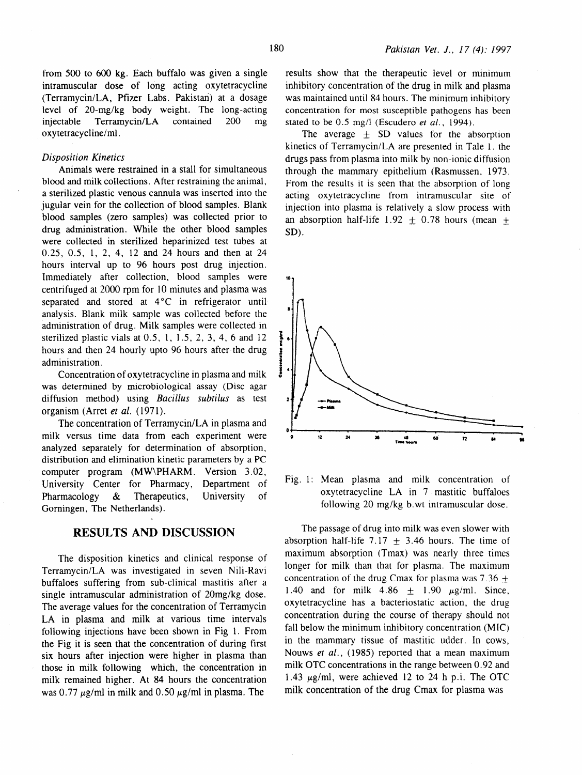from 500 to 600 kg. Each buffalo was given a single intramuscular dose of long acting oxytetracycline (Terramycin/LA, Pfizer Labs. Pakistari) at a dosage level of 20-mg/kg body weight. The long-acting injectable Terramycin/LA contained 200 mg oxytetracycline/mi.

#### *Disposition Kinetics*

Animals were restrained in a stall for simultaneous blood and milk collections. After restraining the animal, a sterilized plastic venous cannula was inserted into the jugular vein for the collection of blood samples. Blank blood samples (zero samples) was collected prior to drug administration. While the other blood samples were collected in sterilized heparinized test tubes at 0.25, 0.5, 1, 2, 4, 12 and 24 hours and then at 24 hours interval up to 96 hours post drug injection. Immediately after collection, blood samples were centrifuged at 2000 rpm for 10 minutes and plasma was separated and stored at  $4^{\circ}$ C in refrigerator until analysis. Blank milk sample was collected before the administration of drug. Milk samples were collected in sterilized plastic vials at  $0.5$ , 1, 1.5, 2, 3, 4, 6 and  $12$ hours and then 24 hourly upto 96 hours after the drug administration.

Concentration of oxytetracycline in plasma and milk was determined by microbiological assay (Disc agar diffusion method) using *Bacillus subtilus* as test organism (Arret *et al.* (1971).

The concentration of Terramycin/LA in plasma and milk versus time data from each experiment were analyzed separately for determination of absorption, distribution and elimination kinetic parameters by a PC computer program (MW\PHARM. Version 3.02, University Center for Pharmacy, Department of Pharmacology & Therapeutics, University of Gomingen, The Netherlands).

# **RESULTS AND DISCUSSION**

The disposition kinetics and clinical response of Terramycin/LA was investigated in seven Nili-Ravi buffaloes suffering from sub-clinical mastitis after a single intramuscular administration of 20mg/kg dose. The average values for the concentration of Terramycin LA in plasma and milk at various time intervals following injections have been shown in Fig 1. From the Fig it is seen that the concentration of during first six hours after injection were higher in plasma than those in milk following which, the concentration in milk remained higher. At 84 hours the concentration was 0.77  $\mu$ g/ml in milk and 0.50  $\mu$ g/ml in plasma. The

results show that the therapeutic level or minimum inhibitory concentration of the drug in milk and plasma was maintained until 84 hours. The minimum inhibitory concentration for most susceptible pathogens has been stated to be 0.5 mg/l (Escudero *et al.*, 1994).

The average  $\pm$  SD values for the absorption kinetics of Terramycin/LA are presented in Tale l. the drugs pass from plasma into milk by non-ionic diffusion through the mammary epithelium (Rasmussen. 1973. From the results it is seen that the absorption of long acting oxytetracycline from intramuscular site of injection into plasma is relatively a slow process with an absorption half-life  $1.92 + 0.78$  hours (mean + SD).



Fig. 1: Mean plasma and milk concentration of oxytetracycline LA in 7 mastitic buffaloes following 20 mg/kg b.wt intramuscular dose.

The passage of drug into milk was even slower with absorption half-life 7.17  $\pm$  3.46 hours. The time of maximum absorption (Tmax) was nearly three times longer for milk than that for plasma. The maximum concentration of the drug Cmax for plasma was  $7.36 +$ 1.40 and for milk  $4.86 \pm 1.90 \mu g/ml$ . Since, oxytetracycline has a bacteriostatic action, the drug concentration during the course of therapy should not fall below the minimum inhibitory concentration (MIC) in the mammary tissue of mastitic udder. In cows, Nouws *et al.*, (1985) reported that a mean maximum milk OTC concentrations in the range between 0. 92 and 1.43  $\mu$ g/ml, were achieved 12 to 24 h p.i. The OTC milk concentration of the drug Cmax for plasma was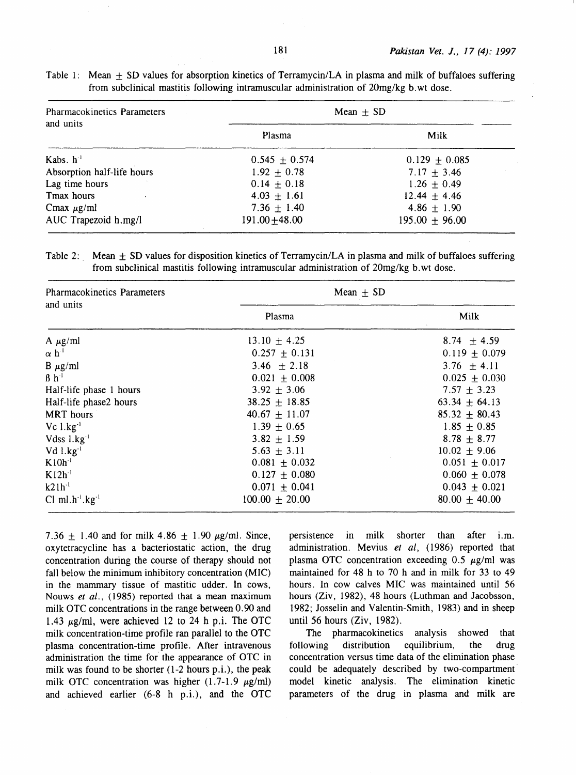| <b>Pharmacokinetics Parameters</b><br>and units | Mean $\pm$ SD     |                    |
|-------------------------------------------------|-------------------|--------------------|
|                                                 | Plasma            | Milk               |
| Kabs. $h^{-1}$                                  | $0.545 \pm 0.574$ | $0.129 \pm 0.085$  |
| Absorption half-life hours                      | $1.92 + 0.78$     | $7.17 + 3.46$      |
| Lag time hours                                  | $0.14 \pm 0.18$   | $1.26 \pm 0.49$    |
| Tmax hours                                      | $4.03 \pm 1.61$   | $12.44 \pm 4.46$   |
| Cmax $\mu$ g/ml                                 | $7.36 \pm 1.40$   | $4.86 \pm 1.90$    |
| AUC Trapezoid h.mg/l                            | $191.00 + 48.00$  | $195.00 \pm 96.00$ |

Table 1: Mean  $\pm$  SD values for absorption kinetics of Terramycin/LA in plasma and milk of buffaloes suffering from subclinical mastitis following intramuscular administration of 20mg/kg b. wt dose.

Table 2: Mean  $\pm$  SD values for disposition kinetics of Terramycin/LA in plasma and milk of buffaloes suffering from subclinical mastitis following intramuscular administration of 20mg/kg b. wt dose.

| <b>Pharmacokinetics Parameters</b><br>and units | Mean $\pm$ SD      |                   |
|-------------------------------------------------|--------------------|-------------------|
|                                                 | Plasma             | Milk              |
| A $\mu$ g/ml                                    | 13.10 $\pm$ 4.25   | 8.74 $\pm$ 4.59   |
| $\alpha$ h <sup>-1</sup>                        | $0.257 \pm 0.131$  | $0.119 \pm 0.079$ |
| $B \mu g/ml$                                    | 3.46 $\pm 2.18$    | $3.76 + 4.11$     |
| $\beta h^{-1}$                                  | $0.021 \pm 0.008$  | $0.025 \pm 0.030$ |
| Half-life phase 1 hours                         | $3.92 \pm 3.06$    | $7.57 \pm 3.23$   |
| Half-life phase2 hours                          | $38.25 \pm 18.85$  | $63.34 \pm 64.13$ |
| <b>MRT</b> hours                                | $40.67 \pm 11.07$  | $85.32 \pm 80.43$ |
| $Vc$ $1.kg^{-1}$                                | $1.39 \pm 0.65$    | $1.85 \pm 0.85$   |
| Vdss $1 \text{ kg}^{-1}$                        | $3.82 \pm 1.59$    | $8.78 \pm 8.77$   |
| $Vd$ l.kg <sup>-1</sup>                         | $5.63 + 3.11$      | $10.02 \pm 9.06$  |
| $K10h-1$                                        | $0.081 \pm 0.032$  | $0.051 \pm 0.017$ |
| $K12h-1$                                        | $0.127 \pm 0.080$  | $0.060 \pm 0.078$ |
| $k21h^{-1}$                                     | $0.071 \pm 0.041$  | $0.043 \pm 0.021$ |
| Cl ml.h <sup>-1</sup> .kg <sup>-1</sup>         | $100.00 \pm 20.00$ | $80.00 \pm 40.00$ |

7.36  $\pm$  1.40 and for milk 4.86  $\pm$  1.90  $\mu$ g/ml. Since, oxytetracycline has a bacteriostatic action, the drug concentration during the course of therapy should not fall below the minimum inhibitory concentration (MIC) in the mammary tissue of mastitic udder. In cows, Nouws *et* al., (1985) reported that a mean maximum milk OTC concentrations in the range between 0. 90 and 1.43  $\mu$ g/ml, were achieved 12 to 24 h p.i. The OTC milk concentration-time profile ran parallel to the OTC plasma concentration-time profile. After intravenous administration the time for' the appearance of OTC in milk was found to be shorter (1-2 hours p.i.), the peak milk OTC concentration was higher  $(1.7-1.9 \mu g/ml)$ and achieved earlier  $(6-8 \text{ h } \text{p.i.})$ , and the OTC persistence in milk shorter than after i.m. administration. Mevius *et* al, (1986) reported that plasma OTC concentration exceeding  $0.5 \mu g/ml$  was maintained for 48 h to 70 h and in milk for 33 to 49 hours. In cow calves MIC was maintained until 56 hours (Ziv, 1982), 48 hours (Luthman and Jacobsson, 1982; Josselin and Valentin-Smith, 1983) and in sheep until 56 hours (Ziv, 1982).

The pharmacokinetics analysis showed that following distribution equilibrium, the drug concentration versus time data of the elimination phase could be adequately described by two-compartment model kinetic analysis. The elimination kinetic parameters of the drug in plasma and milk are